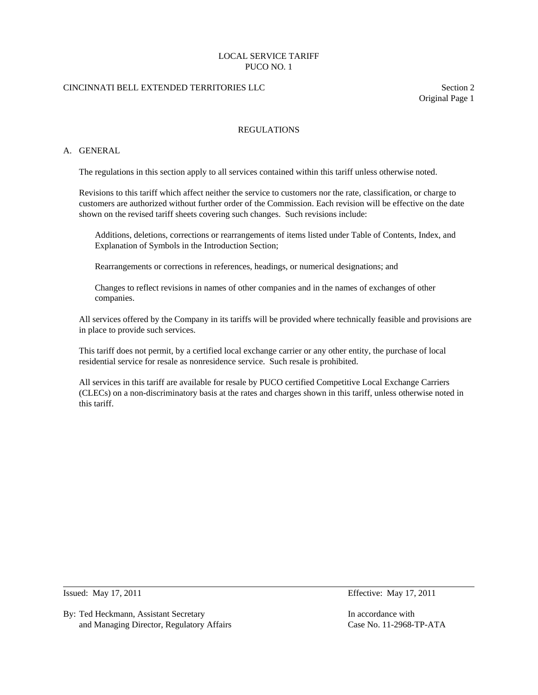# CINCINNATI BELL EXTENDED TERRITORIES LLC Section 2

Original Page 1

# REGULATIONS

### A. GENERAL

The regulations in this section apply to all services contained within this tariff unless otherwise noted.

 Revisions to this tariff which affect neither the service to customers nor the rate, classification, or charge to customers are authorized without further order of the Commission. Each revision will be effective on the date shown on the revised tariff sheets covering such changes. Such revisions include:

 Additions, deletions, corrections or rearrangements of items listed under Table of Contents, Index, and Explanation of Symbols in the Introduction Section;

Rearrangements or corrections in references, headings, or numerical designations; and

 Changes to reflect revisions in names of other companies and in the names of exchanges of other companies.

 All services offered by the Company in its tariffs will be provided where technically feasible and provisions are in place to provide such services.

 This tariff does not permit, by a certified local exchange carrier or any other entity, the purchase of local residential service for resale as nonresidence service. Such resale is prohibited.

 All services in this tariff are available for resale by PUCO certified Competitive Local Exchange Carriers (CLECs) on a non-discriminatory basis at the rates and charges shown in this tariff, unless otherwise noted in this tariff.

 $\overline{a}$ 

By: Ted Heckmann, Assistant Secretary **In accordance with** In accordance with and Managing Director, Regulatory Affairs Case No. 11-2968-TP-ATA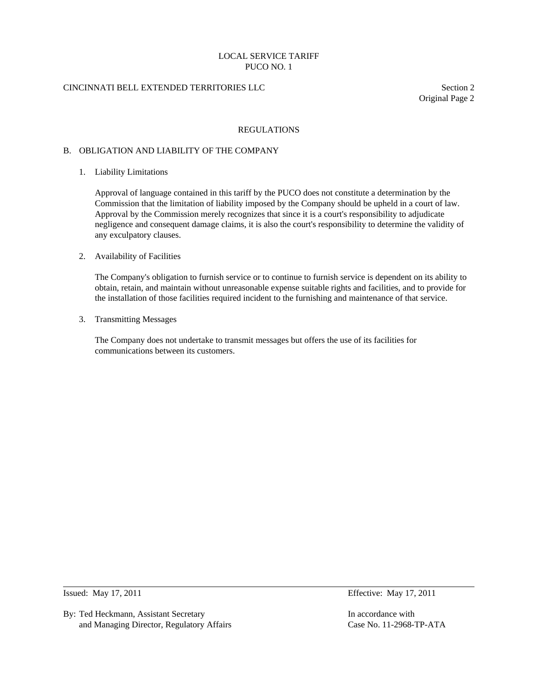# CINCINNATI BELL EXTENDED TERRITORIES LLC Section 2

Original Page 2

#### REGULATIONS

#### B. OBLIGATION AND LIABILITY OF THE COMPANY

1. Liability Limitations

 Approval of language contained in this tariff by the PUCO does not constitute a determination by the Commission that the limitation of liability imposed by the Company should be upheld in a court of law. Approval by the Commission merely recognizes that since it is a court's responsibility to adjudicate negligence and consequent damage claims, it is also the court's responsibility to determine the validity of any exculpatory clauses.

#### 2. Availability of Facilities

 The Company's obligation to furnish service or to continue to furnish service is dependent on its ability to obtain, retain, and maintain without unreasonable expense suitable rights and facilities, and to provide for the installation of those facilities required incident to the furnishing and maintenance of that service.

3. Transmitting Messages

 The Company does not undertake to transmit messages but offers the use of its facilities for communications between its customers.

 $\overline{a}$ 

By: Ted Heckmann, Assistant Secretary **In accordance with** In accordance with and Managing Director, Regulatory Affairs Case No. 11-2968-TP-ATA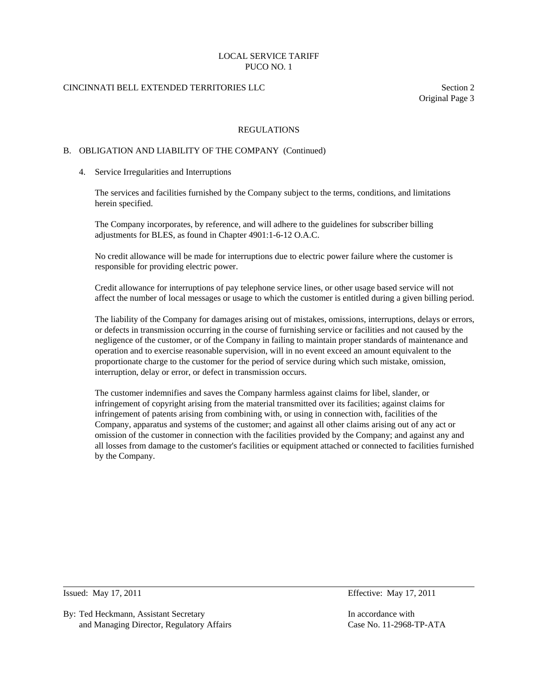# CINCINNATI BELL EXTENDED TERRITORIES LLC Section 2

Original Page 3

#### REGULATIONS

#### B. OBLIGATION AND LIABILITY OF THE COMPANY (Continued)

4. Service Irregularities and Interruptions

 The services and facilities furnished by the Company subject to the terms, conditions, and limitations herein specified.

 The Company incorporates, by reference, and will adhere to the guidelines for subscriber billing adjustments for BLES, as found in Chapter 4901:1-6-12 O.A.C.

 No credit allowance will be made for interruptions due to electric power failure where the customer is responsible for providing electric power.

 Credit allowance for interruptions of pay telephone service lines, or other usage based service will not affect the number of local messages or usage to which the customer is entitled during a given billing period.

 The liability of the Company for damages arising out of mistakes, omissions, interruptions, delays or errors, or defects in transmission occurring in the course of furnishing service or facilities and not caused by the negligence of the customer, or of the Company in failing to maintain proper standards of maintenance and operation and to exercise reasonable supervision, will in no event exceed an amount equivalent to the proportionate charge to the customer for the period of service during which such mistake, omission, interruption, delay or error, or defect in transmission occurs.

 The customer indemnifies and saves the Company harmless against claims for libel, slander, or infringement of copyright arising from the material transmitted over its facilities; against claims for infringement of patents arising from combining with, or using in connection with, facilities of the Company, apparatus and systems of the customer; and against all other claims arising out of any act or omission of the customer in connection with the facilities provided by the Company; and against any and all losses from damage to the customer's facilities or equipment attached or connected to facilities furnished by the Company.

 $\overline{a}$ 

By: Ted Heckmann, Assistant Secretary **In accordance with** In accordance with and Managing Director, Regulatory Affairs Case No. 11-2968-TP-ATA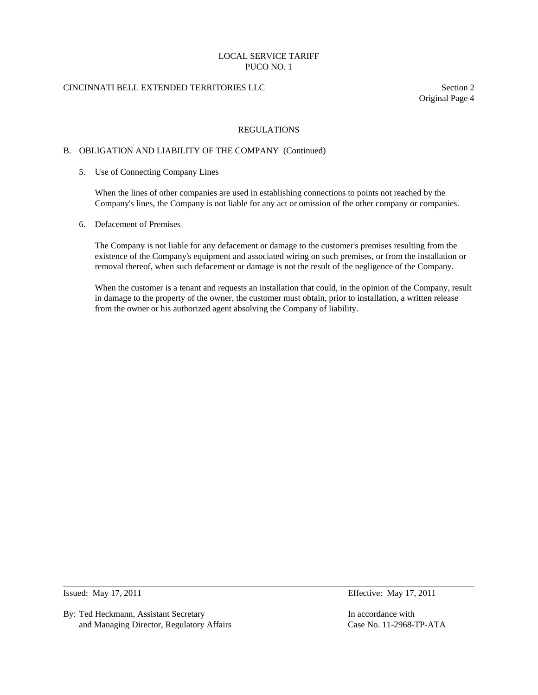# CINCINNATI BELL EXTENDED TERRITORIES LLC Section 2

Original Page 4

### REGULATIONS

#### B. OBLIGATION AND LIABILITY OF THE COMPANY (Continued)

5. Use of Connecting Company Lines

 When the lines of other companies are used in establishing connections to points not reached by the Company's lines, the Company is not liable for any act or omission of the other company or companies.

6. Defacement of Premises

 The Company is not liable for any defacement or damage to the customer's premises resulting from the existence of the Company's equipment and associated wiring on such premises, or from the installation or removal thereof, when such defacement or damage is not the result of the negligence of the Company.

 When the customer is a tenant and requests an installation that could, in the opinion of the Company, result in damage to the property of the owner, the customer must obtain, prior to installation, a written release from the owner or his authorized agent absolving the Company of liability.

 $\overline{a}$ 

By: Ted Heckmann, Assistant Secretary **In accordance with** In accordance with and Managing Director, Regulatory Affairs Case No. 11-2968-TP-ATA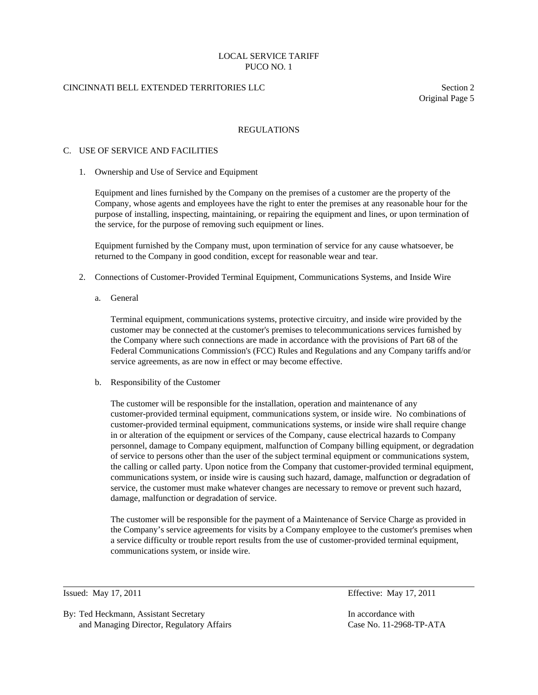# CINCINNATI BELL EXTENDED TERRITORIES LLC Section 2

Original Page 5

### REGULATIONS

#### C. USE OF SERVICE AND FACILITIES

1. Ownership and Use of Service and Equipment

 Equipment and lines furnished by the Company on the premises of a customer are the property of the Company, whose agents and employees have the right to enter the premises at any reasonable hour for the purpose of installing, inspecting, maintaining, or repairing the equipment and lines, or upon termination of the service, for the purpose of removing such equipment or lines.

 Equipment furnished by the Company must, upon termination of service for any cause whatsoever, be returned to the Company in good condition, except for reasonable wear and tear.

- 2. Connections of Customer-Provided Terminal Equipment, Communications Systems, and Inside Wire
	- a. General

 Terminal equipment, communications systems, protective circuitry, and inside wire provided by the customer may be connected at the customer's premises to telecommunications services furnished by the Company where such connections are made in accordance with the provisions of Part 68 of the Federal Communications Commission's (FCC) Rules and Regulations and any Company tariffs and/or service agreements, as are now in effect or may become effective.

b. Responsibility of the Customer

 The customer will be responsible for the installation, operation and maintenance of any customer-provided terminal equipment, communications system, or inside wire. No combinations of customer-provided terminal equipment, communications systems, or inside wire shall require change in or alteration of the equipment or services of the Company, cause electrical hazards to Company personnel, damage to Company equipment, malfunction of Company billing equipment, or degradation of service to persons other than the user of the subject terminal equipment or communications system, the calling or called party. Upon notice from the Company that customer-provided terminal equipment, communications system, or inside wire is causing such hazard, damage, malfunction or degradation of service, the customer must make whatever changes are necessary to remove or prevent such hazard, damage, malfunction or degradation of service.

 The customer will be responsible for the payment of a Maintenance of Service Charge as provided in the Company's service agreements for visits by a Company employee to the customer's premises when a service difficulty or trouble report results from the use of customer-provided terminal equipment, communications system, or inside wire.

 $\overline{a}$ 

By: Ted Heckmann, Assistant Secretary In accordance with and Managing Director, Regulatory Affairs Case No. 11-2968-TP-ATA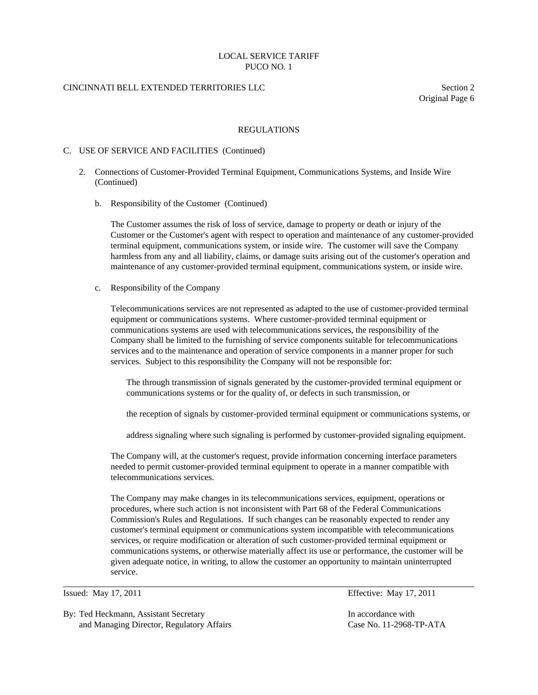### CINCINNATI BELL EXTENDED TERRITORIES LLC Section 2

Original Page 6

#### REGULATIONS

#### C. USE OF SERVICE AND FACILITIES (Continued)

- 2. Connections of Customer-Provided Terminal Equipment, Communications Systems, and Inside Wire (Continued)
	- b. Responsibility of the Customer (Continued)

 The Customer assumes the risk of loss of service, damage to property or death or injury of the Customer or the Customer's agent with respect to operation and maintenance of any customer-provided terminal equipment, communications system, or inside wire. The customer will save the Company harmless from any and all liability, claims, or damage suits arising out of the customer's operation and maintenance of any customer-provided terminal equipment, communications system, or inside wire.

c. Responsibility of the Company

 Telecommunications services are not represented as adapted to the use of customer-provided terminal equipment or communications systems. Where customer-provided terminal equipment or communications systems are used with telecommunications services, the responsibility of the Company shall be limited to the furnishing of service components suitable for telecommunications services and to the maintenance and operation of service components in a manner proper for such services. Subject to this responsibility the Company will not be responsible for:

 The through transmission of signals generated by the customer-provided terminal equipment or communications systems or for the quality of, or defects in such transmission, or

the reception of signals by customer-provided terminal equipment or communications systems, or

address signaling where such signaling is performed by customer-provided signaling equipment.

 The Company will, at the customer's request, provide information concerning interface parameters needed to permit customer-provided terminal equipment to operate in a manner compatible with telecommunications services.

 The Company may make changes in its telecommunications services, equipment, operations or procedures, where such action is not inconsistent with Part 68 of the Federal Communications Commission's Rules and Regulations. If such changes can be reasonably expected to render any customer's terminal equipment or communications system incompatible with telecommunications services, or require modification or alteration of such customer-provided terminal equipment or communications systems, or otherwise materially affect its use or performance, the customer will be given adequate notice, in writing, to allow the customer an opportunity to maintain uninterrupted service.

 $\overline{a}$ 

By: Ted Heckmann, Assistant Secretary In accordance with and Managing Director, Regulatory Affairs Case No. 11-2968-TP-ATA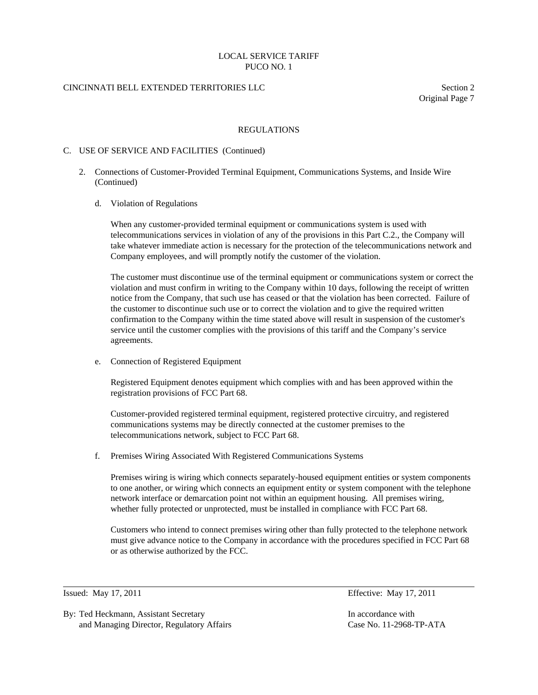# CINCINNATI BELL EXTENDED TERRITORIES LLC Section 2

Original Page 7

### REGULATIONS

### C. USE OF SERVICE AND FACILITIES (Continued)

- 2. Connections of Customer-Provided Terminal Equipment, Communications Systems, and Inside Wire (Continued)
	- d. Violation of Regulations

 When any customer-provided terminal equipment or communications system is used with telecommunications services in violation of any of the provisions in this Part C.2., the Company will take whatever immediate action is necessary for the protection of the telecommunications network and Company employees, and will promptly notify the customer of the violation.

 The customer must discontinue use of the terminal equipment or communications system or correct the violation and must confirm in writing to the Company within 10 days, following the receipt of written notice from the Company, that such use has ceased or that the violation has been corrected. Failure of the customer to discontinue such use or to correct the violation and to give the required written confirmation to the Company within the time stated above will result in suspension of the customer's service until the customer complies with the provisions of this tariff and the Company's service agreements.

e. Connection of Registered Equipment

 Registered Equipment denotes equipment which complies with and has been approved within the registration provisions of FCC Part 68.

 Customer-provided registered terminal equipment, registered protective circuitry, and registered communications systems may be directly connected at the customer premises to the telecommunications network, subject to FCC Part 68.

f. Premises Wiring Associated With Registered Communications Systems

 Premises wiring is wiring which connects separately-housed equipment entities or system components to one another, or wiring which connects an equipment entity or system component with the telephone network interface or demarcation point not within an equipment housing. All premises wiring, whether fully protected or unprotected, must be installed in compliance with FCC Part 68.

 Customers who intend to connect premises wiring other than fully protected to the telephone network must give advance notice to the Company in accordance with the procedures specified in FCC Part 68 or as otherwise authorized by the FCC.

 $\overline{a}$ 

By: Ted Heckmann, Assistant Secretary In accordance with and Managing Director, Regulatory Affairs Case No. 11-2968-TP-ATA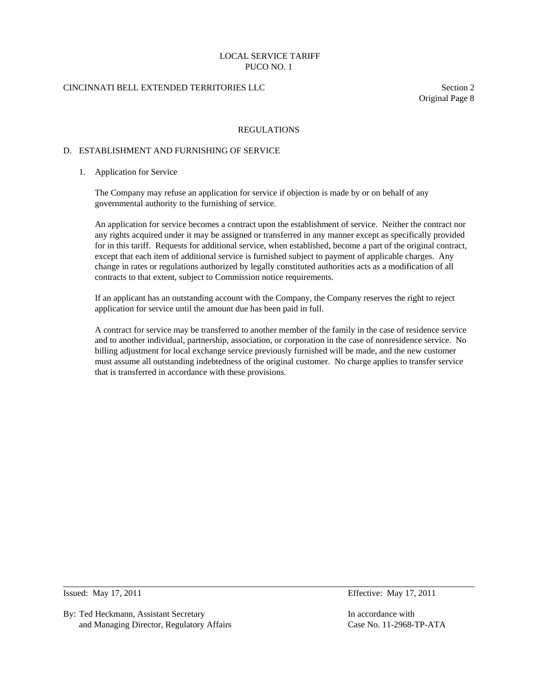# CINCINNATI BELL EXTENDED TERRITORIES LLC Section 2

Original Page 8

#### REGULATIONS

#### D. ESTABLISHMENT AND FURNISHING OF SERVICE

#### 1. Application for Service

 The Company may refuse an application for service if objection is made by or on behalf of any governmental authority to the furnishing of service.

 An application for service becomes a contract upon the establishment of service. Neither the contract nor any rights acquired under it may be assigned or transferred in any manner except as specifically provided for in this tariff. Requests for additional service, when established, become a part of the original contract, except that each item of additional service is furnished subject to payment of applicable charges. Any change in rates or regulations authorized by legally constituted authorities acts as a modification of all contracts to that extent, subject to Commission notice requirements.

 If an applicant has an outstanding account with the Company, the Company reserves the right to reject application for service until the amount due has been paid in full.

 A contract for service may be transferred to another member of the family in the case of residence service and to another individual, partnership, association, or corporation in the case of nonresidence service. No billing adjustment for local exchange service previously furnished will be made, and the new customer must assume all outstanding indebtedness of the original customer. No charge applies to transfer service that is transferred in accordance with these provisions.

 $\overline{a}$ 

By: Ted Heckmann, Assistant Secretary **In accordance with** In accordance with and Managing Director, Regulatory Affairs Case No. 11-2968-TP-ATA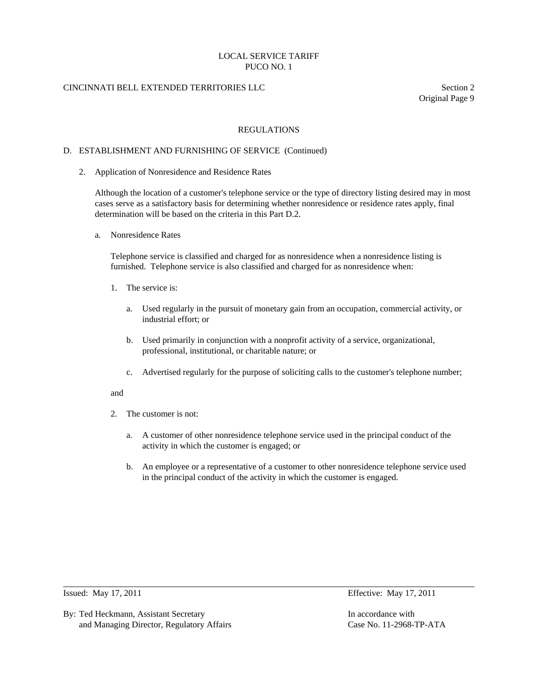# CINCINNATI BELL EXTENDED TERRITORIES LLC Section 2

Original Page 9

#### REGULATIONS

#### D. ESTABLISHMENT AND FURNISHING OF SERVICE (Continued)

2. Application of Nonresidence and Residence Rates

 Although the location of a customer's telephone service or the type of directory listing desired may in most cases serve as a satisfactory basis for determining whether nonresidence or residence rates apply, final determination will be based on the criteria in this Part D.2.

a. Nonresidence Rates

 Telephone service is classified and charged for as nonresidence when a nonresidence listing is furnished. Telephone service is also classified and charged for as nonresidence when:

- 1. The service is:
	- a. Used regularly in the pursuit of monetary gain from an occupation, commercial activity, or industrial effort; or
	- b. Used primarily in conjunction with a nonprofit activity of a service, organizational, professional, institutional, or charitable nature; or
	- c. Advertised regularly for the purpose of soliciting calls to the customer's telephone number;

#### and

- 2. The customer is not:
	- a. A customer of other nonresidence telephone service used in the principal conduct of the activity in which the customer is engaged; or
	- b. An employee or a representative of a customer to other nonresidence telephone service used in the principal conduct of the activity in which the customer is engaged.

 $\overline{a}$ 

By: Ted Heckmann, Assistant Secretary **In accordance with** In accordance with and Managing Director, Regulatory Affairs Case No. 11-2968-TP-ATA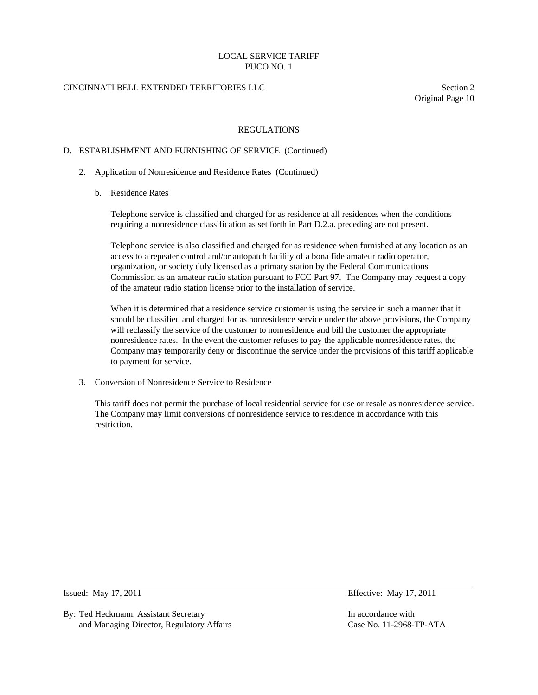# CINCINNATI BELL EXTENDED TERRITORIES LLC Section 2

Original Page 10

### REGULATIONS

#### D. ESTABLISHMENT AND FURNISHING OF SERVICE (Continued)

- 2. Application of Nonresidence and Residence Rates (Continued)
	- b. Residence Rates

 Telephone service is classified and charged for as residence at all residences when the conditions requiring a nonresidence classification as set forth in Part D.2.a. preceding are not present.

 Telephone service is also classified and charged for as residence when furnished at any location as an access to a repeater control and/or autopatch facility of a bona fide amateur radio operator, organization, or society duly licensed as a primary station by the Federal Communications Commission as an amateur radio station pursuant to FCC Part 97. The Company may request a copy of the amateur radio station license prior to the installation of service.

 When it is determined that a residence service customer is using the service in such a manner that it should be classified and charged for as nonresidence service under the above provisions, the Company will reclassify the service of the customer to nonresidence and bill the customer the appropriate nonresidence rates. In the event the customer refuses to pay the applicable nonresidence rates, the Company may temporarily deny or discontinue the service under the provisions of this tariff applicable to payment for service.

3. Conversion of Nonresidence Service to Residence

 This tariff does not permit the purchase of local residential service for use or resale as nonresidence service. The Company may limit conversions of nonresidence service to residence in accordance with this restriction.

 $\overline{a}$ 

By: Ted Heckmann, Assistant Secretary In accordance with and Managing Director, Regulatory Affairs Case No. 11-2968-TP-ATA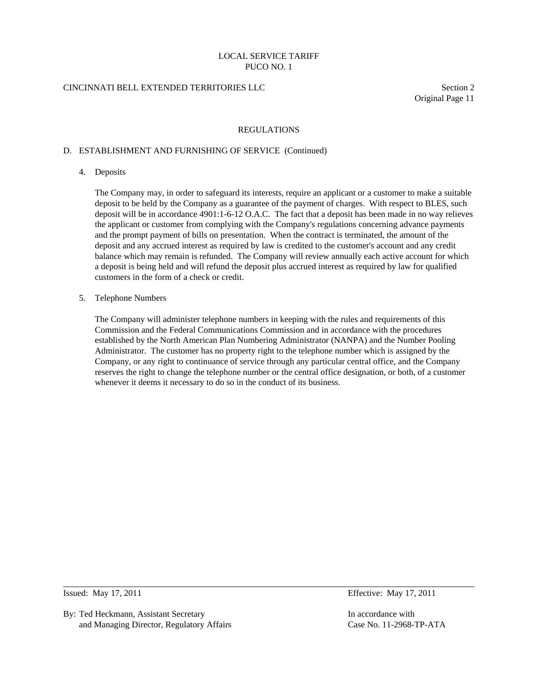# CINCINNATI BELL EXTENDED TERRITORIES LLC Section 2

Original Page 11

#### REGULATIONS

### D. ESTABLISHMENT AND FURNISHING OF SERVICE (Continued)

4. Deposits

 The Company may, in order to safeguard its interests, require an applicant or a customer to make a suitable deposit to be held by the Company as a guarantee of the payment of charges. With respect to BLES, such deposit will be in accordance 4901:1-6-12 O.A.C. The fact that a deposit has been made in no way relieves the applicant or customer from complying with the Company's regulations concerning advance payments and the prompt payment of bills on presentation. When the contract is terminated, the amount of the deposit and any accrued interest as required by law is credited to the customer's account and any credit balance which may remain is refunded. The Company will review annually each active account for which a deposit is being held and will refund the deposit plus accrued interest as required by law for qualified customers in the form of a check or credit.

5. Telephone Numbers

 The Company will administer telephone numbers in keeping with the rules and requirements of this Commission and the Federal Communications Commission and in accordance with the procedures established by the North American Plan Numbering Administrator (NANPA) and the Number Pooling Administrator. The customer has no property right to the telephone number which is assigned by the Company, or any right to continuance of service through any particular central office, and the Company reserves the right to change the telephone number or the central office designation, or both, of a customer whenever it deems it necessary to do so in the conduct of its business.

 $\overline{a}$ 

By: Ted Heckmann, Assistant Secretary **In accordance with** In accordance with and Managing Director, Regulatory Affairs Case No. 11-2968-TP-ATA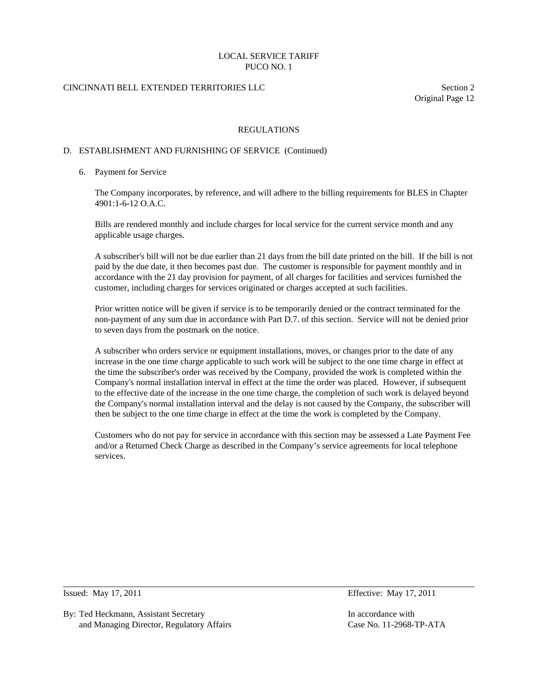# CINCINNATI BELL EXTENDED TERRITORIES LLC Section 2

Original Page 12

### REGULATIONS

### D. ESTABLISHMENT AND FURNISHING OF SERVICE (Continued)

#### 6. Payment for Service

 The Company incorporates, by reference, and will adhere to the billing requirements for BLES in Chapter 4901:1-6-12 O.A.C.

 Bills are rendered monthly and include charges for local service for the current service month and any applicable usage charges.

 A subscriber's bill will not be due earlier than 21 days from the bill date printed on the bill. If the bill is not paid by the due date, it then becomes past due. The customer is responsible for payment monthly and in accordance with the 21 day provision for payment, of all charges for facilities and services furnished the customer, including charges for services originated or charges accepted at such facilities.

 Prior written notice will be given if service is to be temporarily denied or the contract terminated for the non-payment of any sum due in accordance with Part D.7. of this section. Service will not be denied prior to seven days from the postmark on the notice.

 A subscriber who orders service or equipment installations, moves, or changes prior to the date of any increase in the one time charge applicable to such work will be subject to the one time charge in effect at the time the subscriber's order was received by the Company, provided the work is completed within the Company's normal installation interval in effect at the time the order was placed. However, if subsequent to the effective date of the increase in the one time charge, the completion of such work is delayed beyond the Company's normal installation interval and the delay is not caused by the Company, the subscriber will then be subject to the one time charge in effect at the time the work is completed by the Company.

 Customers who do not pay for service in accordance with this section may be assessed a Late Payment Fee and/or a Returned Check Charge as described in the Company's service agreements for local telephone services.

 $\overline{a}$ 

By: Ted Heckmann, Assistant Secretary **In accordance with** In accordance with and Managing Director, Regulatory Affairs Case No. 11-2968-TP-ATA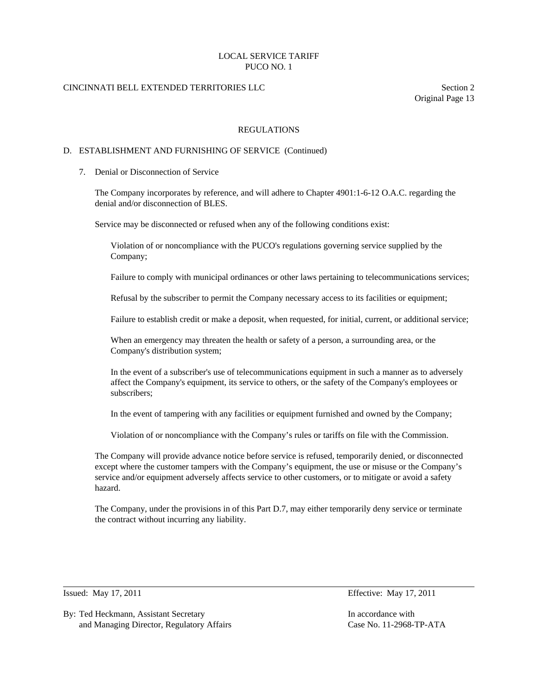# CINCINNATI BELL EXTENDED TERRITORIES LLC Section 2

Original Page 13

#### REGULATIONS

### D. ESTABLISHMENT AND FURNISHING OF SERVICE (Continued)

7. Denial or Disconnection of Service

 The Company incorporates by reference, and will adhere to Chapter 4901:1-6-12 O.A.C. regarding the denial and/or disconnection of BLES.

Service may be disconnected or refused when any of the following conditions exist:

 Violation of or noncompliance with the PUCO's regulations governing service supplied by the Company;

Failure to comply with municipal ordinances or other laws pertaining to telecommunications services;

Refusal by the subscriber to permit the Company necessary access to its facilities or equipment;

Failure to establish credit or make a deposit, when requested, for initial, current, or additional service;

 When an emergency may threaten the health or safety of a person, a surrounding area, or the Company's distribution system;

 In the event of a subscriber's use of telecommunications equipment in such a manner as to adversely affect the Company's equipment, its service to others, or the safety of the Company's employees or subscribers;

In the event of tampering with any facilities or equipment furnished and owned by the Company;

Violation of or noncompliance with the Company's rules or tariffs on file with the Commission.

 The Company will provide advance notice before service is refused, temporarily denied, or disconnected except where the customer tampers with the Company's equipment, the use or misuse or the Company's service and/or equipment adversely affects service to other customers, or to mitigate or avoid a safety hazard.

 The Company, under the provisions in of this Part D.7, may either temporarily deny service or terminate the contract without incurring any liability.

 $\overline{a}$ 

By: Ted Heckmann, Assistant Secretary **In accordance with** In accordance with and Managing Director, Regulatory Affairs Case No. 11-2968-TP-ATA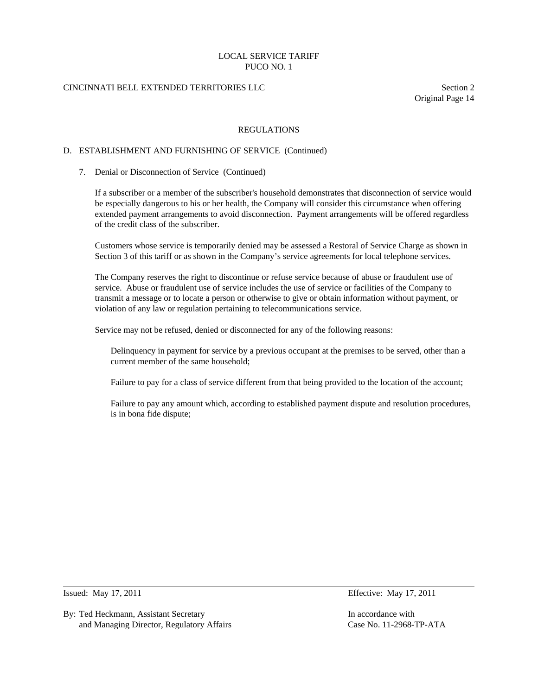# CINCINNATI BELL EXTENDED TERRITORIES LLC Section 2

Original Page 14

#### REGULATIONS

#### D. ESTABLISHMENT AND FURNISHING OF SERVICE (Continued)

#### 7. Denial or Disconnection of Service (Continued)

 If a subscriber or a member of the subscriber's household demonstrates that disconnection of service would be especially dangerous to his or her health, the Company will consider this circumstance when offering extended payment arrangements to avoid disconnection. Payment arrangements will be offered regardless of the credit class of the subscriber.

 Customers whose service is temporarily denied may be assessed a Restoral of Service Charge as shown in Section 3 of this tariff or as shown in the Company's service agreements for local telephone services.

 The Company reserves the right to discontinue or refuse service because of abuse or fraudulent use of service. Abuse or fraudulent use of service includes the use of service or facilities of the Company to transmit a message or to locate a person or otherwise to give or obtain information without payment, or violation of any law or regulation pertaining to telecommunications service.

Service may not be refused, denied or disconnected for any of the following reasons:

 Delinquency in payment for service by a previous occupant at the premises to be served, other than a current member of the same household;

Failure to pay for a class of service different from that being provided to the location of the account;

 Failure to pay any amount which, according to established payment dispute and resolution procedures, is in bona fide dispute;

 $\overline{a}$ 

By: Ted Heckmann, Assistant Secretary In accordance with and Managing Director, Regulatory Affairs Case No. 11-2968-TP-ATA